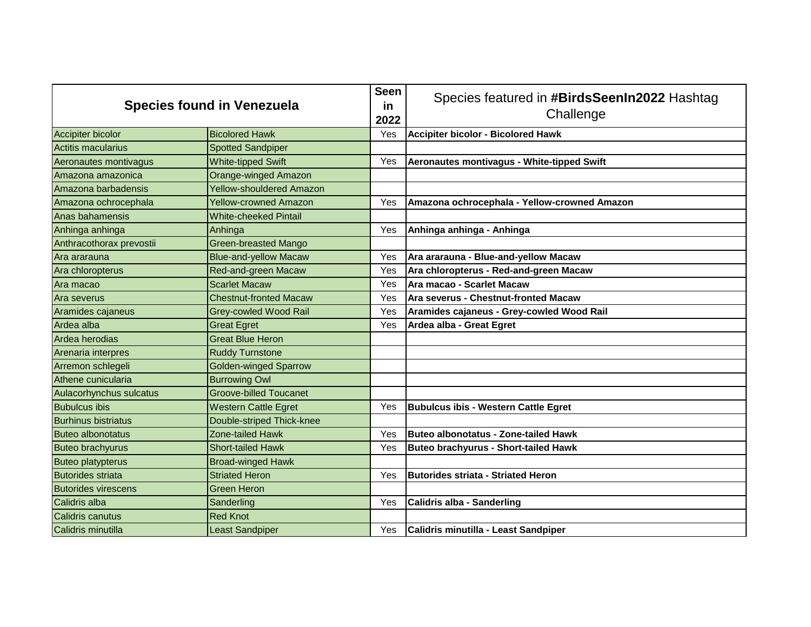| <b>Species found in Venezuela</b> |                                 | <b>Seen</b><br>in<br>2022 | Species featured in #BirdsSeenIn2022 Hashtag<br>Challenge |
|-----------------------------------|---------------------------------|---------------------------|-----------------------------------------------------------|
| <b>Accipiter bicolor</b>          | <b>Bicolored Hawk</b>           | Yes                       | <b>Accipiter bicolor - Bicolored Hawk</b>                 |
| Actitis macularius                | <b>Spotted Sandpiper</b>        |                           |                                                           |
| Aeronautes montivagus             | <b>White-tipped Swift</b>       | Yes                       | Aeronautes montivagus - White-tipped Swift                |
| Amazona amazonica                 | <b>Orange-winged Amazon</b>     |                           |                                                           |
| Amazona barbadensis               | <b>Yellow-shouldered Amazon</b> |                           |                                                           |
| Amazona ochrocephala              | <b>Yellow-crowned Amazon</b>    | Yes                       | Amazona ochrocephala - Yellow-crowned Amazon              |
| Anas bahamensis                   | <b>White-cheeked Pintail</b>    |                           |                                                           |
| Anhinga anhinga                   | Anhinga                         | Yes                       | Anhinga anhinga - Anhinga                                 |
| Anthracothorax prevostii          | <b>Green-breasted Mango</b>     |                           |                                                           |
| Ara ararauna                      | <b>Blue-and-yellow Macaw</b>    | Yes                       | Ara ararauna - Blue-and-yellow Macaw                      |
| Ara chloropterus                  | <b>Red-and-green Macaw</b>      | Yes                       | Ara chloropterus - Red-and-green Macaw                    |
| Ara macao                         | <b>Scarlet Macaw</b>            | Yes                       | Ara macao - Scarlet Macaw                                 |
| Ara severus                       | <b>Chestnut-fronted Macaw</b>   | Yes                       | Ara severus - Chestnut-fronted Macaw                      |
| Aramides cajaneus                 | <b>Grey-cowled Wood Rail</b>    | Yes                       | Aramides cajaneus - Grey-cowled Wood Rail                 |
| Ardea alba                        | <b>Great Egret</b>              | Yes                       | Ardea alba - Great Egret                                  |
| Ardea herodias                    | <b>Great Blue Heron</b>         |                           |                                                           |
| Arenaria interpres                | <b>Ruddy Turnstone</b>          |                           |                                                           |
| Arremon schlegeli                 | <b>Golden-winged Sparrow</b>    |                           |                                                           |
| Athene cunicularia                | <b>Burrowing Owl</b>            |                           |                                                           |
| Aulacorhynchus sulcatus           | <b>Groove-billed Toucanet</b>   |                           |                                                           |
| <b>Bubulcus ibis</b>              | <b>Western Cattle Egret</b>     | Yes                       | <b>Bubulcus ibis - Western Cattle Egret</b>               |
| <b>Burhinus bistriatus</b>        | Double-striped Thick-knee       |                           |                                                           |
| <b>Buteo albonotatus</b>          | Zone-tailed Hawk                | Yes                       | Buteo albonotatus - Zone-tailed Hawk                      |
| <b>Buteo brachyurus</b>           | <b>Short-tailed Hawk</b>        | Yes                       | <b>Buteo brachyurus - Short-tailed Hawk</b>               |
| <b>Buteo platypterus</b>          | <b>Broad-winged Hawk</b>        |                           |                                                           |
| <b>Butorides striata</b>          | <b>Striated Heron</b>           | Yes                       | Butorides striata - Striated Heron                        |
| <b>Butorides virescens</b>        | <b>Green Heron</b>              |                           |                                                           |
| Calidris alba                     | Sanderling                      | Yes                       | <b>Calidris alba - Sanderling</b>                         |
| Calidris canutus                  | <b>Red Knot</b>                 |                           |                                                           |
| Calidris minutilla                | <b>Least Sandpiper</b>          | Yes                       | Calidris minutilla - Least Sandpiper                      |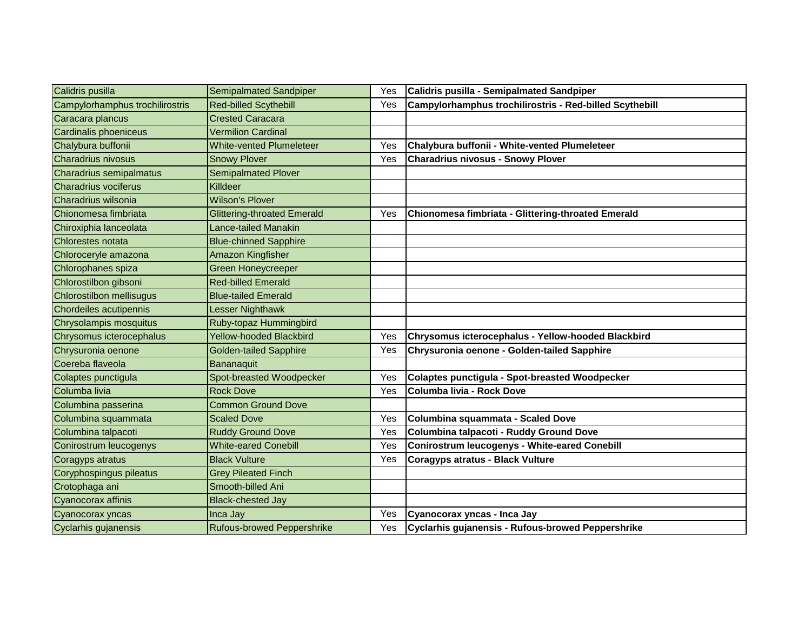| Calidris pusilla                | Semipalmated Sandpiper             | Yes | Calidris pusilla - Semipalmated Sandpiper               |
|---------------------------------|------------------------------------|-----|---------------------------------------------------------|
| Campylorhamphus trochilirostris | <b>Red-billed Scythebill</b>       | Yes | Campylorhamphus trochilirostris - Red-billed Scythebill |
| Caracara plancus                | <b>Crested Caracara</b>            |     |                                                         |
| Cardinalis phoeniceus           | <b>Vermilion Cardinal</b>          |     |                                                         |
| Chalybura buffonii              | <b>White-vented Plumeleteer</b>    | Yes | Chalybura buffonii - White-vented Plumeleteer           |
| Charadrius nivosus              | <b>Snowy Plover</b>                | Yes | <b>Charadrius nivosus - Snowy Plover</b>                |
| Charadrius semipalmatus         | <b>Semipalmated Plover</b>         |     |                                                         |
| <b>Charadrius vociferus</b>     | Killdeer                           |     |                                                         |
| Charadrius wilsonia             | <b>Wilson's Plover</b>             |     |                                                         |
| Chionomesa fimbriata            | <b>Glittering-throated Emerald</b> | Yes | Chionomesa fimbriata - Glittering-throated Emerald      |
| Chiroxiphia lanceolata          | Lance-tailed Manakin               |     |                                                         |
| Chlorestes notata               | <b>Blue-chinned Sapphire</b>       |     |                                                         |
| Chloroceryle amazona            | Amazon Kingfisher                  |     |                                                         |
| Chlorophanes spiza              | <b>Green Honeycreeper</b>          |     |                                                         |
| Chlorostilbon gibsoni           | <b>Red-billed Emerald</b>          |     |                                                         |
| Chlorostilbon mellisugus        | <b>Blue-tailed Emerald</b>         |     |                                                         |
| Chordeiles acutipennis          | Lesser Nighthawk                   |     |                                                         |
| Chrysolampis mosquitus          | Ruby-topaz Hummingbird             |     |                                                         |
| Chrysomus icterocephalus        | <b>Yellow-hooded Blackbird</b>     | Yes | Chrysomus icterocephalus - Yellow-hooded Blackbird      |
| Chrysuronia oenone              | <b>Golden-tailed Sapphire</b>      | Yes | Chrysuronia oenone - Golden-tailed Sapphire             |
| Coereba flaveola                | Bananaquit                         |     |                                                         |
| Colaptes punctigula             | Spot-breasted Woodpecker           | Yes | <b>Colaptes punctigula - Spot-breasted Woodpecker</b>   |
| Columba livia                   | <b>Rock Dove</b>                   | Yes | Columba livia - Rock Dove                               |
| Columbina passerina             | <b>Common Ground Dove</b>          |     |                                                         |
| Columbina squammata             | <b>Scaled Dove</b>                 | Yes | Columbina squammata - Scaled Dove                       |
| Columbina talpacoti             | <b>Ruddy Ground Dove</b>           | Yes | Columbina talpacoti - Ruddy Ground Dove                 |
| Conirostrum leucogenys          | <b>White-eared Conebill</b>        | Yes | <b>Conirostrum leucogenys - White-eared Conebill</b>    |
| Coragyps atratus                | <b>Black Vulture</b>               | Yes | <b>Coragyps atratus - Black Vulture</b>                 |
| Coryphospingus pileatus         | <b>Grey Pileated Finch</b>         |     |                                                         |
| Crotophaga ani                  | Smooth-billed Ani                  |     |                                                         |
| Cyanocorax affinis              | <b>Black-chested Jay</b>           |     |                                                         |
| Cyanocorax yncas                | Inca Jay                           | Yes | Cyanocorax yncas - Inca Jay                             |
| Cyclarhis gujanensis            | <b>Rufous-browed Peppershrike</b>  | Yes | Cyclarhis gujanensis - Rufous-browed Peppershrike       |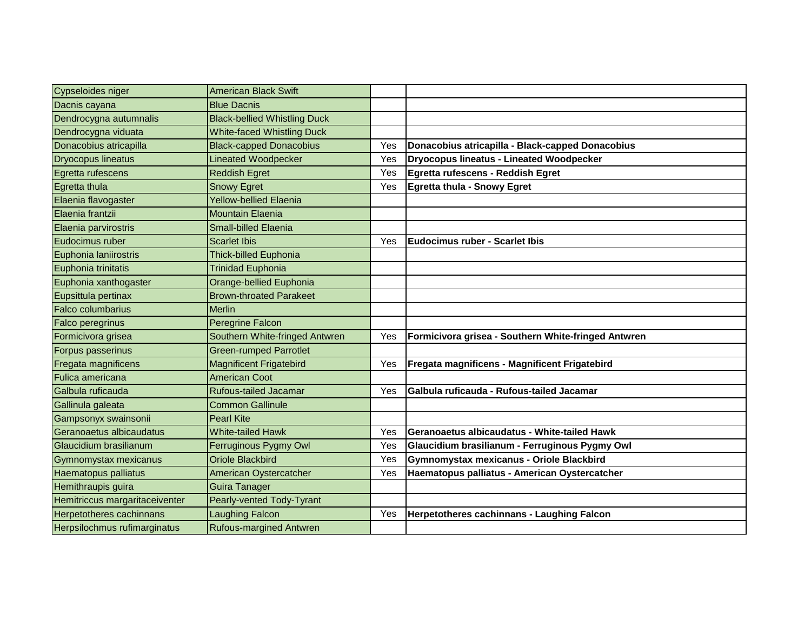| Cypseloides niger              | <b>American Black Swift</b>         |     |                                                     |
|--------------------------------|-------------------------------------|-----|-----------------------------------------------------|
| Dacnis cayana                  | <b>Blue Dacnis</b>                  |     |                                                     |
| Dendrocygna autumnalis         | <b>Black-bellied Whistling Duck</b> |     |                                                     |
| Dendrocygna viduata            | <b>White-faced Whistling Duck</b>   |     |                                                     |
| Donacobius atricapilla         | <b>Black-capped Donacobius</b>      | Yes | Donacobius atricapilla - Black-capped Donacobius    |
| <b>Dryocopus lineatus</b>      | <b>Lineated Woodpecker</b>          | Yes | <b>Dryocopus lineatus - Lineated Woodpecker</b>     |
| Egretta rufescens              | <b>Reddish Egret</b>                | Yes | Egretta rufescens - Reddish Egret                   |
| Egretta thula                  | <b>Snowy Egret</b>                  | Yes | <b>Egretta thula - Snowy Egret</b>                  |
| Elaenia flavogaster            | <b>Yellow-bellied Elaenia</b>       |     |                                                     |
| Elaenia frantzii               | <b>Mountain Elaenia</b>             |     |                                                     |
| Elaenia parvirostris           | <b>Small-billed Elaenia</b>         |     |                                                     |
| Eudocimus ruber                | <b>Scarlet Ibis</b>                 | Yes | <b>Eudocimus ruber - Scarlet Ibis</b>               |
| Euphonia laniirostris          | <b>Thick-billed Euphonia</b>        |     |                                                     |
| Euphonia trinitatis            | <b>Trinidad Euphonia</b>            |     |                                                     |
| Euphonia xanthogaster          | Orange-bellied Euphonia             |     |                                                     |
| Eupsittula pertinax            | <b>Brown-throated Parakeet</b>      |     |                                                     |
| Falco columbarius              | <b>Merlin</b>                       |     |                                                     |
| Falco peregrinus               | Peregrine Falcon                    |     |                                                     |
| Formicivora grisea             | Southern White-fringed Antwren      | Yes | Formicivora grisea - Southern White-fringed Antwren |
| Forpus passerinus              | <b>Green-rumped Parrotlet</b>       |     |                                                     |
| <b>Fregata magnificens</b>     | <b>Magnificent Frigatebird</b>      | Yes | Fregata magnificens - Magnificent Frigatebird       |
| Fulica americana               | <b>American Coot</b>                |     |                                                     |
| Galbula ruficauda              | <b>Rufous-tailed Jacamar</b>        | Yes | Galbula ruficauda - Rufous-tailed Jacamar           |
| Gallinula galeata              | <b>Common Gallinule</b>             |     |                                                     |
| Gampsonyx swainsonii           | <b>Pearl Kite</b>                   |     |                                                     |
| Geranoaetus albicaudatus       | <b>White-tailed Hawk</b>            | Yes | Geranoaetus albicaudatus - White-tailed Hawk        |
| Glaucidium brasilianum         | Ferruginous Pygmy Owl               | Yes | Glaucidium brasilianum - Ferruginous Pygmy Owl      |
| Gymnomystax mexicanus          | <b>Oriole Blackbird</b>             | Yes | Gymnomystax mexicanus - Oriole Blackbird            |
| <b>Haematopus palliatus</b>    | American Oystercatcher              | Yes | Haematopus palliatus - American Oystercatcher       |
| Hemithraupis guira             | <b>Guira Tanager</b>                |     |                                                     |
| Hemitriccus margaritaceiventer | Pearly-vented Tody-Tyrant           |     |                                                     |
| Herpetotheres cachinnans       | <b>Laughing Falcon</b>              | Yes | Herpetotheres cachinnans - Laughing Falcon          |
| Herpsilochmus rufimarginatus   | <b>Rufous-margined Antwren</b>      |     |                                                     |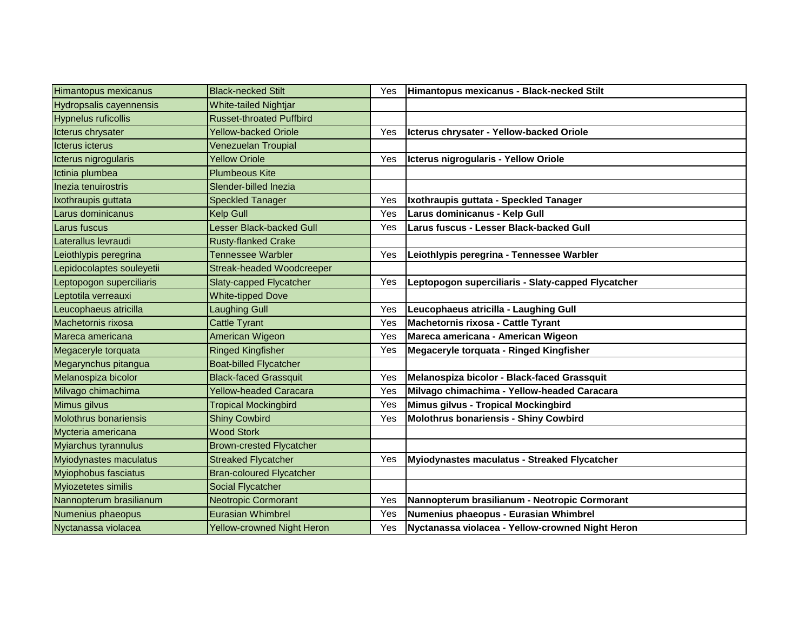| <b>Himantopus mexicanus</b> | <b>Black-necked Stilt</b>         | Yes | Himantopus mexicanus - Black-necked Stilt          |
|-----------------------------|-----------------------------------|-----|----------------------------------------------------|
| Hydropsalis cayennensis     | <b>White-tailed Nightjar</b>      |     |                                                    |
| <b>Hypnelus ruficollis</b>  | <b>Russet-throated Puffbird</b>   |     |                                                    |
| Icterus chrysater           | <b>Yellow-backed Oriole</b>       | Yes | Icterus chrysater - Yellow-backed Oriole           |
| <b>Icterus icterus</b>      | <b>Venezuelan Troupial</b>        |     |                                                    |
| Icterus nigrogularis        | <b>Yellow Oriole</b>              | Yes | Icterus nigrogularis - Yellow Oriole               |
| Ictinia plumbea             | <b>Plumbeous Kite</b>             |     |                                                    |
| Inezia tenuirostris         | Slender-billed Inezia             |     |                                                    |
| Ixothraupis guttata         | <b>Speckled Tanager</b>           | Yes | Ixothraupis guttata - Speckled Tanager             |
| Larus dominicanus           | <b>Kelp Gull</b>                  | Yes | Larus dominicanus - Kelp Gull                      |
| Larus fuscus                | <b>Lesser Black-backed Gull</b>   | Yes | Larus fuscus - Lesser Black-backed Gull            |
| Laterallus levraudi         | <b>Rusty-flanked Crake</b>        |     |                                                    |
| Leiothlypis peregrina       | <b>Tennessee Warbler</b>          | Yes | Leiothlypis peregrina - Tennessee Warbler          |
| Lepidocolaptes souleyetii   | <b>Streak-headed Woodcreeper</b>  |     |                                                    |
| Leptopogon superciliaris    | <b>Slaty-capped Flycatcher</b>    | Yes | Leptopogon superciliaris - Slaty-capped Flycatcher |
| Leptotila verreauxi         | <b>White-tipped Dove</b>          |     |                                                    |
| Leucophaeus atricilla       | <b>Laughing Gull</b>              | Yes | Leucophaeus atricilla - Laughing Gull              |
| Machetornis rixosa          | <b>Cattle Tyrant</b>              | Yes | Machetornis rixosa - Cattle Tyrant                 |
| Mareca americana            | American Wigeon                   | Yes | Mareca americana - American Wigeon                 |
| Megaceryle torquata         | <b>Ringed Kingfisher</b>          | Yes | Megaceryle torquata - Ringed Kingfisher            |
| Megarynchus pitangua        | <b>Boat-billed Flycatcher</b>     |     |                                                    |
| Melanospiza bicolor         | <b>Black-faced Grassquit</b>      | Yes | Melanospiza bicolor - Black-faced Grassquit        |
| Milvago chimachima          | <b>Yellow-headed Caracara</b>     | Yes | Milvago chimachima - Yellow-headed Caracara        |
| Mimus gilvus                | <b>Tropical Mockingbird</b>       | Yes | Mimus gilvus - Tropical Mockingbird                |
| Molothrus bonariensis       | <b>Shiny Cowbird</b>              | Yes | <b>Molothrus bonariensis - Shiny Cowbird</b>       |
| Mycteria americana          | <b>Wood Stork</b>                 |     |                                                    |
| Myiarchus tyrannulus        | <b>Brown-crested Flycatcher</b>   |     |                                                    |
| Myiodynastes maculatus      | <b>Streaked Flycatcher</b>        | Yes | Myiodynastes maculatus - Streaked Flycatcher       |
| <b>Myiophobus fasciatus</b> | <b>Bran-coloured Flycatcher</b>   |     |                                                    |
| Myiozetetes similis         | <b>Social Flycatcher</b>          |     |                                                    |
| Nannopterum brasilianum     | <b>Neotropic Cormorant</b>        | Yes | Nannopterum brasilianum - Neotropic Cormorant      |
| Numenius phaeopus           | <b>Eurasian Whimbrel</b>          | Yes | Numenius phaeopus - Eurasian Whimbrel              |
| Nyctanassa violacea         | <b>Yellow-crowned Night Heron</b> | Yes | Nyctanassa violacea - Yellow-crowned Night Heron   |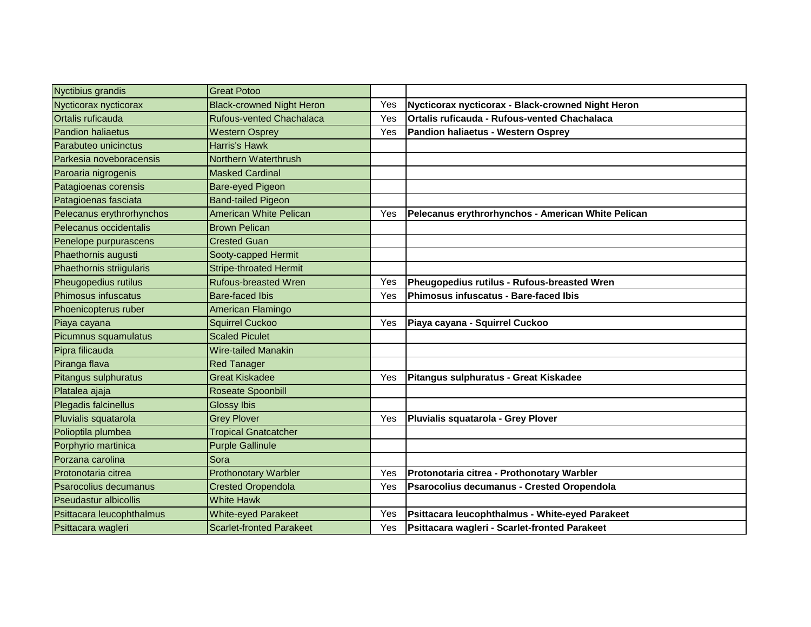| Nyctibius grandis         | <b>Great Potoo</b>               |     |                                                     |
|---------------------------|----------------------------------|-----|-----------------------------------------------------|
| Nycticorax nycticorax     | <b>Black-crowned Night Heron</b> | Yes | Nycticorax nycticorax - Black-crowned Night Heron   |
| Ortalis ruficauda         | Rufous-vented Chachalaca         | Yes | <b>Ortalis ruficauda - Rufous-vented Chachalaca</b> |
| <b>Pandion haliaetus</b>  | <b>Western Osprey</b>            | Yes | Pandion haliaetus - Western Osprey                  |
| Parabuteo unicinctus      | Harris's Hawk                    |     |                                                     |
| Parkesia noveboracensis   | Northern Waterthrush             |     |                                                     |
| Paroaria nigrogenis       | <b>Masked Cardinal</b>           |     |                                                     |
| Patagioenas corensis      | Bare-eyed Pigeon                 |     |                                                     |
| Patagioenas fasciata      | <b>Band-tailed Pigeon</b>        |     |                                                     |
| Pelecanus erythrorhynchos | <b>American White Pelican</b>    | Yes | Pelecanus erythrorhynchos - American White Pelican  |
| Pelecanus occidentalis    | <b>Brown Pelican</b>             |     |                                                     |
| Penelope purpurascens     | <b>Crested Guan</b>              |     |                                                     |
| Phaethornis augusti       | Sooty-capped Hermit              |     |                                                     |
| Phaethornis striigularis  | <b>Stripe-throated Hermit</b>    |     |                                                     |
| Pheugopedius rutilus      | <b>Rufous-breasted Wren</b>      | Yes | Pheugopedius rutilus - Rufous-breasted Wren         |
| Phimosus infuscatus       | <b>Bare-faced Ibis</b>           | Yes | Phimosus infuscatus - Bare-faced Ibis               |
| Phoenicopterus ruber      | American Flamingo                |     |                                                     |
| Piaya cayana              | <b>Squirrel Cuckoo</b>           | Yes | Piaya cayana - Squirrel Cuckoo                      |
| Picumnus squamulatus      | <b>Scaled Piculet</b>            |     |                                                     |
| Pipra filicauda           | <b>Wire-tailed Manakin</b>       |     |                                                     |
| Piranga flava             | <b>Red Tanager</b>               |     |                                                     |
| Pitangus sulphuratus      | <b>Great Kiskadee</b>            | Yes | Pitangus sulphuratus - Great Kiskadee               |
| Platalea ajaja            | <b>Roseate Spoonbill</b>         |     |                                                     |
| Plegadis falcinellus      | <b>Glossy Ibis</b>               |     |                                                     |
| Pluvialis squatarola      | <b>Grey Plover</b>               | Yes | Pluvialis squatarola - Grey Plover                  |
| Polioptila plumbea        | <b>Tropical Gnatcatcher</b>      |     |                                                     |
| Porphyrio martinica       | <b>Purple Gallinule</b>          |     |                                                     |
| Porzana carolina          | Sora                             |     |                                                     |
| Protonotaria citrea       | <b>Prothonotary Warbler</b>      | Yes | Protonotaria citrea - Prothonotary Warbler          |
| Psarocolius decumanus     | <b>Crested Oropendola</b>        | Yes | Psarocolius decumanus - Crested Oropendola          |
| Pseudastur albicollis     | <b>White Hawk</b>                |     |                                                     |
| Psittacara leucophthalmus | <b>White-eyed Parakeet</b>       | Yes | Psittacara leucophthalmus - White-eyed Parakeet     |
| Psittacara wagleri        | <b>Scarlet-fronted Parakeet</b>  | Yes | Psittacara wagleri - Scarlet-fronted Parakeet       |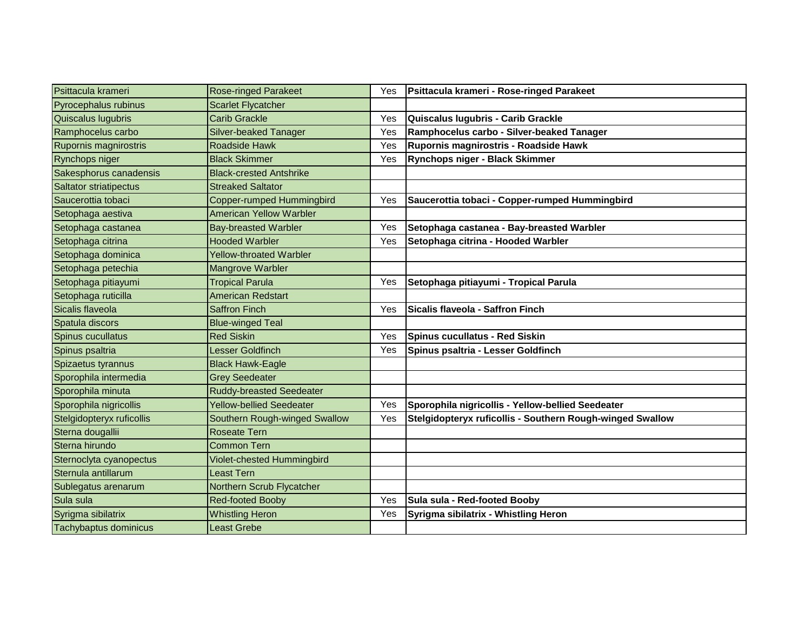| Psittacula krameri            | <b>Rose-ringed Parakeet</b>     | Yes | Psittacula krameri - Rose-ringed Parakeet                 |
|-------------------------------|---------------------------------|-----|-----------------------------------------------------------|
| Pyrocephalus rubinus          | <b>Scarlet Flycatcher</b>       |     |                                                           |
| Quiscalus lugubris            | <b>Carib Grackle</b>            | Yes | Quiscalus lugubris - Carib Grackle                        |
| Ramphocelus carbo             | Silver-beaked Tanager           | Yes | Ramphocelus carbo - Silver-beaked Tanager                 |
| Rupornis magnirostris         | <b>Roadside Hawk</b>            | Yes | Rupornis magnirostris - Roadside Hawk                     |
| Rynchops niger                | <b>Black Skimmer</b>            | Yes | Rynchops niger - Black Skimmer                            |
| Sakesphorus canadensis        | <b>Black-crested Antshrike</b>  |     |                                                           |
| <b>Saltator striatipectus</b> | <b>Streaked Saltator</b>        |     |                                                           |
| Saucerottia tobaci            | Copper-rumped Hummingbird       | Yes | Saucerottia tobaci - Copper-rumped Hummingbird            |
| Setophaga aestiva             | <b>American Yellow Warbler</b>  |     |                                                           |
| Setophaga castanea            | <b>Bay-breasted Warbler</b>     | Yes | Setophaga castanea - Bay-breasted Warbler                 |
| Setophaga citrina             | <b>Hooded Warbler</b>           | Yes | Setophaga citrina - Hooded Warbler                        |
| Setophaga dominica            | <b>Yellow-throated Warbler</b>  |     |                                                           |
| Setophaga petechia            | Mangrove Warbler                |     |                                                           |
| Setophaga pitiayumi           | <b>Tropical Parula</b>          | Yes | Setophaga pitiayumi - Tropical Parula                     |
| Setophaga ruticilla           | <b>American Redstart</b>        |     |                                                           |
| Sicalis flaveola              | <b>Saffron Finch</b>            | Yes | Sicalis flaveola - Saffron Finch                          |
| Spatula discors               | <b>Blue-winged Teal</b>         |     |                                                           |
| Spinus cucullatus             | <b>Red Siskin</b>               | Yes | <b>Spinus cucullatus - Red Siskin</b>                     |
| Spinus psaltria               | Lesser Goldfinch                | Yes | Spinus psaltria - Lesser Goldfinch                        |
| Spizaetus tyrannus            | <b>Black Hawk-Eagle</b>         |     |                                                           |
| Sporophila intermedia         | <b>Grey Seedeater</b>           |     |                                                           |
| Sporophila minuta             | <b>Ruddy-breasted Seedeater</b> |     |                                                           |
| Sporophila nigricollis        | <b>Yellow-bellied Seedeater</b> | Yes | Sporophila nigricollis - Yellow-bellied Seedeater         |
| Stelgidopteryx ruficollis     | Southern Rough-winged Swallow   | Yes | Stelgidopteryx ruficollis - Southern Rough-winged Swallow |
| Sterna dougallii              | <b>Roseate Tern</b>             |     |                                                           |
| Sterna hirundo                | <b>Common Tern</b>              |     |                                                           |
| Sternoclyta cyanopectus       | Violet-chested Hummingbird      |     |                                                           |
| Sternula antillarum           | Least Tern                      |     |                                                           |
| Sublegatus arenarum           | Northern Scrub Flycatcher       |     |                                                           |
| Sula sula                     | <b>Red-footed Booby</b>         | Yes | Sula sula - Red-footed Booby                              |
| Syrigma sibilatrix            | <b>Whistling Heron</b>          | Yes | Syrigma sibilatrix - Whistling Heron                      |
| Tachybaptus dominicus         | <b>Least Grebe</b>              |     |                                                           |